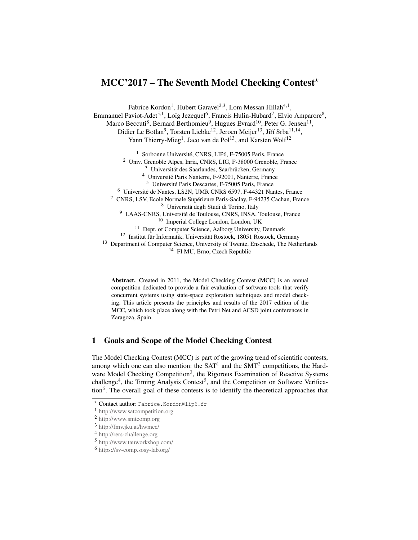# $MCC'2017$  – The Seventh Model Checking Contest<sup>\*</sup>

Fabrice Kordon<sup>1</sup>, Hubert Garavel<sup>2,3</sup>, Lom Messan Hillah<sup>4,1</sup>, Emmanuel Paviot-Adet<sup>5,1</sup>, Loïg Jezequel<sup>6</sup>, Francis Hulin-Hubard<sup>7</sup>, Elvio Amparore<sup>8</sup>, Marco Beccuti<sup>8</sup>, Bernard Berthomieu<sup>9</sup>, Hugues Evrard<sup>10</sup>, Peter G. Jensen<sup>11</sup>, Didier Le Botlan<sup>9</sup>, Torsten Liebke<sup>12</sup>, Jeroen Meijer<sup>13</sup>, Jiří Srba<sup>11,14</sup>, Yann Thierry-Mieg<sup>1</sup>, Jaco van de Pol<sup>13</sup>, and Karsten Wolf<sup>12</sup> <sup>1</sup> Sorbonne Université, CNRS, LIP6, F-75005 Paris, France <sup>2</sup> Univ. Grenoble Alpes, Inria, CNRS, LIG, F-38000 Grenoble, France  $3$  Universität des Saarlandes, Saarbrücken, Germany <sup>4</sup> Universite Paris Nanterre, F-92001, Nanterre, France ´ <sup>5</sup> Université Paris Descartes, F-75005 Paris, France <sup>6</sup> Universite de Nantes, LS2N, UMR CNRS 6597, F-44321 Nantes, France ´ <sup>7</sup> CNRS, LSV, Ecole Normale Supérieure Paris-Saclay, F-94235 Cachan, France <sup>8</sup> Universita degli Studi di Torino, Italy ` <sup>9</sup> LAAS-CNRS, Université de Toulouse, CNRS, INSA, Toulouse, France <sup>10</sup> Imperial College London, London, UK <sup>11</sup> Dept. of Computer Science, Aalborg University, Denmark <sup>12</sup> Institut für Informatik, Universität Rostock, 18051 Rostock, Germany <sup>13</sup> Department of Computer Science, University of Twente, Enschede, The Netherlands

<sup>14</sup> FI MU, Brno, Czech Republic

Abstract. Created in 2011, the Model Checking Contest (MCC) is an annual competition dedicated to provide a fair evaluation of software tools that verify concurrent systems using state-space exploration techniques and model checking. This article presents the principles and results of the 2017 edition of the MCC, which took place along with the Petri Net and ACSD joint conferences in Zaragoza, Spain.

# 1 Goals and Scope of the Model Checking Contest

The Model Checking Contest (MCC) is part of the growing trend of scientific contests, among which one can also mention: the  $SAT<sup>1</sup>$  $SAT<sup>1</sup>$  $SAT<sup>1</sup>$  and the  $SMT<sup>2</sup>$  $SMT<sup>2</sup>$  $SMT<sup>2</sup>$  competitions, the Hard-ware Model Checking Competition<sup>[3](#page-0-2)</sup>, the Rigorous Examination of Reactive Systems challenge<sup>[4](#page-0-3)</sup>, the Timing Analysis Contest<sup>[5](#page-0-4)</sup>, and the Competition on Software Verifica-tion<sup>[6](#page-0-5)</sup>. The overall goal of these contests is to identify the theoretical approaches that

<sup>?</sup> Contact author: Fabrice.Kordon@lip6.fr

<span id="page-0-0"></span><sup>1</sup> <http://www.satcompetition.org>

<span id="page-0-1"></span><sup>2</sup> <http://www.smtcomp.org>

<span id="page-0-2"></span><sup>3</sup> <http://fmv.jku.at/hwmcc/>

<span id="page-0-3"></span><sup>4</sup> <http://rers-challenge.org>

<span id="page-0-4"></span><sup>5</sup> <http://www.tauworkshop.com/>

<span id="page-0-5"></span><sup>6</sup> [https://sv-comp.sosy-lab.org/](https://sv-comp.sosy-lab.org/ )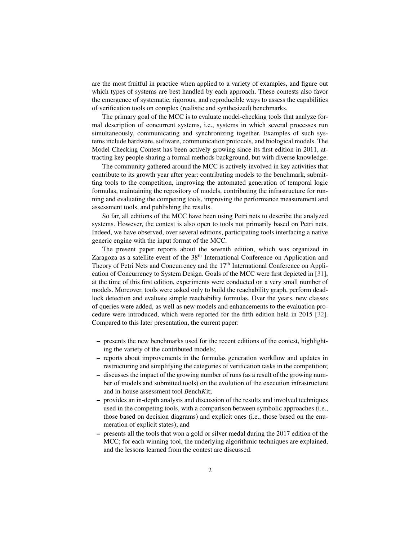are the most fruitful in practice when applied to a variety of examples, and figure out which types of systems are best handled by each approach. These contests also favor the emergence of systematic, rigorous, and reproducible ways to assess the capabilities of verification tools on complex (realistic and synthesized) benchmarks.

The primary goal of the MCC is to evaluate model-checking tools that analyze formal description of concurrent systems, i.e., systems in which several processes run simultaneously, communicating and synchronizing together. Examples of such systems include hardware, software, communication protocols, and biological models. The Model Checking Contest has been actively growing since its first edition in 2011, attracting key people sharing a formal methods background, but with diverse knowledge.

The community gathered around the MCC is actively involved in key activities that contribute to its growth year after year: contributing models to the benchmark, submitting tools to the competition, improving the automated generation of temporal logic formulas, maintaining the repository of models, contributing the infrastructure for running and evaluating the competing tools, improving the performance measurement and assessment tools, and publishing the results.

So far, all editions of the MCC have been using Petri nets to describe the analyzed systems. However, the contest is also open to tools not primarily based on Petri nets. Indeed, we have observed, over several editions, participating tools interfacing a native generic engine with the input format of the MCC.

The present paper reports about the seventh edition, which was organized in Zaragoza as a satellite event of the 38<sup>th</sup> International Conference on Application and Theory of Petri Nets and Concurrency and the 17<sup>th</sup> International Conference on Application of Concurrency to System Design. Goals of the MCC were first depicted in [\[31\]](#page-25-0), at the time of this first edition, experiments were conducted on a very small number of models. Moreover, tools were asked only to build the reachability graph, perform deadlock detection and evaluate simple reachability formulas. Over the years, new classes of queries were added, as well as new models and enhancements to the evaluation procedure were introduced, which were reported for the fifth edition held in 2015 [\[32\]](#page-25-1). Compared to this later presentation, the current paper:

- presents the new benchmarks used for the recent editions of the contest, highlighting the variety of the contributed models;
- reports about improvements in the formulas generation workflow and updates in restructuring and simplifying the categories of verification tasks in the competition;
- discusses the impact of the growing number of runs (as a result of the growing number of models and submitted tools) on the evolution of the execution infrastructure and in-house assessment tool *B*ench*K*it;
- provides an in-depth analysis and discussion of the results and involved techniques used in the competing tools, with a comparison between symbolic approaches (i.e., those based on decision diagrams) and explicit ones (i.e., those based on the enumeration of explicit states); and
- presents all the tools that won a gold or silver medal during the 2017 edition of the MCC; for each winning tool, the underlying algorithmic techniques are explained, and the lessons learned from the contest are discussed.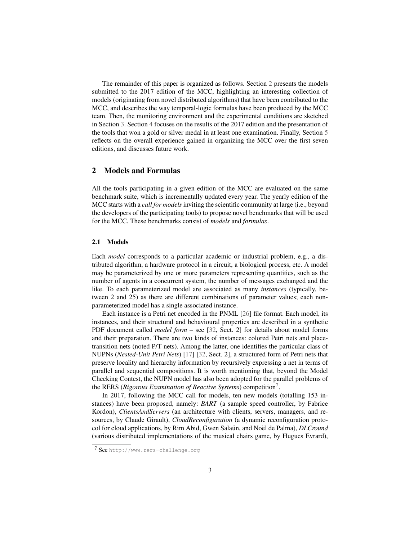The remainder of this paper is organized as follows. Section [2](#page-2-0) presents the models submitted to the 2017 edition of the MCC, highlighting an interesting collection of models (originating from novel distributed algorithms) that have been contributed to the MCC, and describes the way temporal-logic formulas have been produced by the MCC team. Then, the monitoring environment and the experimental conditions are sketched in Section [3.](#page-6-0) Section [4](#page-7-0) focuses on the results of the 2017 edition and the presentation of the tools that won a gold or silver medal in at least one examination. Finally, Section [5](#page-23-0) reflects on the overall experience gained in organizing the MCC over the first seven editions, and discusses future work.

# <span id="page-2-0"></span>2 Models and Formulas

All the tools participating in a given edition of the MCC are evaluated on the same benchmark suite, which is incrementally updated every year. The yearly edition of the MCC starts with a *call for models* inviting the scientific community at large (i.e., beyond the developers of the participating tools) to propose novel benchmarks that will be used for the MCC. These benchmarks consist of *models* and *formulas*.

#### 2.1 Models

Each *model* corresponds to a particular academic or industrial problem, e.g., a distributed algorithm, a hardware protocol in a circuit, a biological process, etc. A model may be parameterized by one or more parameters representing quantities, such as the number of agents in a concurrent system, the number of messages exchanged and the like. To each parameterized model are associated as many *instances* (typically, between 2 and 25) as there are different combinations of parameter values; each nonparameterized model has a single associated instance.

Each instance is a Petri net encoded in the PNML [\[26\]](#page-25-2) file format. Each model, its instances, and their structural and behavioural properties are described in a synthetic PDF document called *model form* – see [\[32,](#page-25-1) Sect. 2] for details about model forms and their preparation. There are two kinds of instances: colored Petri nets and placetransition nets (noted P/T nets). Among the latter, one identifies the particular class of NUPNs (*Nested-Unit Petri Nets*) [\[17\]](#page-24-0) [\[32,](#page-25-1) Sect. 2], a structured form of Petri nets that preserve locality and hierarchy information by recursively expressing a net in terms of parallel and sequential compositions. It is worth mentioning that, beyond the Model Checking Contest, the NUPN model has also been adopted for the parallel problems of the RERS (*Rigorous Examination of Reactive Systems*) competition[7](#page-2-1) .

In 2017, following the MCC call for models, ten new models (totalling 153 instances) have been proposed, namely: *BART* (a sample speed controller, by Fabrice Kordon), *ClientsAndServers* (an architecture with clients, servers, managers, and resources, by Claude Girault), *CloudReconfiguration* (a dynamic reconfiguration protocol for cloud applications, by Rim Abid, Gwen Salaün, and Noël de Palma), *DLCround* (various distributed implementations of the musical chairs game, by Hugues Evrard),

<span id="page-2-1"></span><sup>7</sup> See <http://www.rers-challenge.org>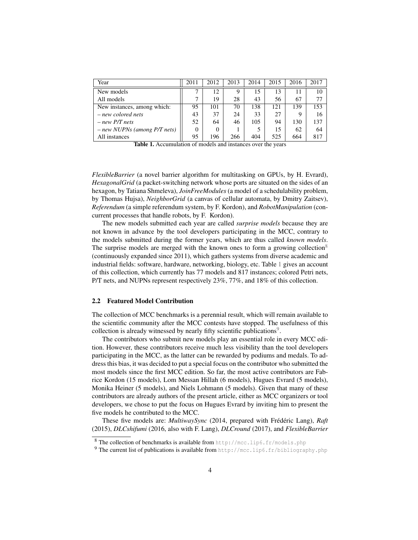| Year                           | 2011 | 2012 | 2013 | 2014 | 2015 | 2016 | 2017 |
|--------------------------------|------|------|------|------|------|------|------|
| New models                     |      | 12   | 9    | 15   | 13   | 11   | 10   |
| All models                     |      | 19   | 28   | 43   | 56   | 67   | 77   |
| New instances, among which:    | 95   | 101  | 70   | 138  | 121  | 139  | 153  |
| $-$ new colored nets           | 43   | 37   | 24   | 33   | 27   | 9    | 16   |
| $-$ new P/T nets               | 52   | 64   | 46   | 105  | 94   | 130  | 137  |
| $-$ new NUPNs (among P/T nets) |      | 0    |      |      | 15   | 62   | 64   |
| All instances                  | 95   | 196  | 266  | 404  | 525  | 664  | 817  |

<span id="page-3-1"></span>Table 1. Accumulation of models and instances over the years

*FlexibleBarrier* (a novel barrier algorithm for multitasking on GPUs, by H. Evrard), *HexagonalGrid* (a packet-switching network whose ports are situated on the sides of an hexagon, by Tatiana Shmeleva), *JoinFreeModules* (a model of a schedulability problem, by Thomas Hujsa), *NeighborGrid* (a canvas of cellular automata, by Dmitry Zaitsev), *Referendum* (a simple referendum system, by F. Kordon), and *RobotManipulation* (concurrent processes that handle robots, by F. Kordon).

The new models submitted each year are called *surprise models* because they are not known in advance by the tool developers participating in the MCC, contrary to the models submitted during the former years, which are thus called *known models*. The surprise models are merged with the known ones to form a growing collection<sup>[8](#page-3-0)</sup> (continuously expanded since 2011), which gathers systems from diverse academic and industrial fields: software, hardware, networking, biology, etc. Table [1](#page-3-1) gives an account of this collection, which currently has 77 models and 817 instances; colored Petri nets, P/T nets, and NUPNs represent respectively 23%, 77%, and 18% of this collection.

## 2.2 Featured Model Contribution

The collection of MCC benchmarks is a perennial result, which will remain available to the scientific community after the MCC contests have stopped. The usefulness of this collection is already witnessed by nearly fifty scientific publications<sup>[9](#page-3-2)</sup>.

The contributors who submit new models play an essential role in every MCC edition. However, these contributors receive much less visibility than the tool developers participating in the MCC, as the latter can be rewarded by podiums and medals. To address this bias, it was decided to put a special focus on the contributor who submitted the most models since the first MCC edition. So far, the most active contributors are Fabrice Kordon (15 models), Lom Messan Hillah (6 models), Hugues Evrard (5 models), Monika Heiner (5 models), and Niels Lohmann (5 models). Given that many of these contributors are already authors of the present article, either as MCC organizers or tool developers, we chose to put the focus on Hugues Evrard by inviting him to present the five models he contributed to the MCC.

These five models are: *MultiwaySync* (2014, prepared with Frédéric Lang), *Raft* (2015), *DLCshifumi* (2016, also with F. Lang), *DLCround* (2017), and *FlexibleBarrier*

<span id="page-3-0"></span><sup>&</sup>lt;sup>8</sup> The collection of benchmarks is available from <http://mcc.lip6.fr/models.php>

<span id="page-3-2"></span><sup>&</sup>lt;sup>9</sup> The current list of publications is available from <http://mcc.lip6.fr/bibliography.php>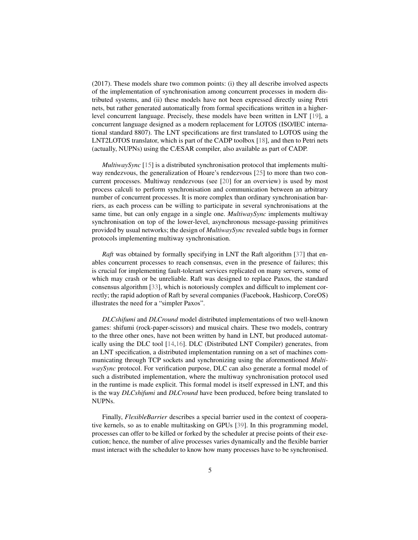(2017). These models share two common points: (i) they all describe involved aspects of the implementation of synchronisation among concurrent processes in modern distributed systems, and (ii) these models have not been expressed directly using Petri nets, but rather generated automatically from formal specifications written in a higherlevel concurrent language. Precisely, these models have been written in LNT [\[19\]](#page-25-3), a concurrent language designed as a modern replacement for LOTOS (ISO/IEC international standard 8807). The LNT specifications are first translated to LOTOS using the LNT2LOTOS translator, which is part of the CADP toolbox [\[18\]](#page-24-1), and then to Petri nets (actually, NUPNs) using the CÆSAR compiler, also available as part of CADP.

*MultiwaySync* [\[15\]](#page-24-2) is a distributed synchronisation protocol that implements multiway rendezvous, the generalization of Hoare's rendezvous [\[25\]](#page-25-4) to more than two concurrent processes. Multiway rendezvous (see [\[20\]](#page-25-5) for an overview) is used by most process calculi to perform synchronisation and communication between an arbitrary number of concurrent processes. It is more complex than ordinary synchronisation barriers, as each process can be willing to participate in several synchronisations at the same time, but can only engage in a single one. *MultiwaySync* implements multiway synchronisation on top of the lower-level, asynchronous message-passing primitives provided by usual networks; the design of *MultiwaySync* revealed subtle bugs in former protocols implementing multiway synchronisation.

*Raft* was obtained by formally specifying in LNT the Raft algorithm [\[37\]](#page-26-0) that enables concurrent processes to reach consensus, even in the presence of failures; this is crucial for implementing fault-tolerant services replicated on many servers, some of which may crash or be unreliable. Raft was designed to replace Paxos, the standard consensus algorithm [\[33\]](#page-25-6), which is notoriously complex and difficult to implement correctly; the rapid adoption of Raft by several companies (Facebook, Hashicorp, CoreOS) illustrates the need for a "simpler Paxos".

*DLCshifumi* and *DLCround* model distributed implementations of two well-known games: shifumi (rock-paper-scissors) and musical chairs. These two models, contrary to the three other ones, have not been written by hand in LNT, but produced automatically using the DLC tool [\[14](#page-24-3)[,16\]](#page-24-4). DLC (Distributed LNT Compiler) generates, from an LNT specification, a distributed implementation running on a set of machines communicating through TCP sockets and synchronizing using the aforementioned *MultiwaySync* protocol. For verification purpose, DLC can also generate a formal model of such a distributed implementation, where the multiway synchronisation protocol used in the runtime is made explicit. This formal model is itself expressed in LNT, and this is the way *DLCshifumi* and *DLCround* have been produced, before being translated to NUPNs.

Finally, *FlexibleBarrier* describes a special barrier used in the context of cooperative kernels, so as to enable multitasking on GPUs [\[39\]](#page-26-1). In this programming model, processes can offer to be killed or forked by the scheduler at precise points of their execution; hence, the number of alive processes varies dynamically and the flexible barrier must interact with the scheduler to know how many processes have to be synchronised.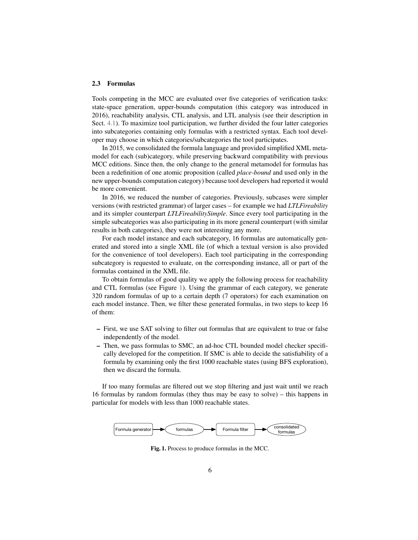#### 2.3 Formulas

Tools competing in the MCC are evaluated over five categories of verification tasks: state-space generation, upper-bounds computation (this category was introduced in 2016), reachability analysis, CTL analysis, and LTL analysis (see their description in Sect. [4.1\)](#page-7-1). To maximize tool participation, we further divided the four latter categories into subcategories containing only formulas with a restricted syntax. Each tool developer may choose in which categories/subcategories the tool participates.

In 2015, we consolidated the formula language and provided simplified XML metamodel for each (sub)category, while preserving backward compatibility with previous MCC editions. Since then, the only change to the general metamodel for formulas has been a redefinition of one atomic proposition (called *place-bound* and used only in the new upper-bounds computation category) because tool developers had reported it would be more convenient.

In 2016, we reduced the number of categories. Previously, subcases were simpler versions (with restricted grammar) of larger cases – for example we had *LTLFireability* and its simpler counterpart *LTLFireabilitySimple*. Since every tool participating in the simple subcategories was also participating in its more general counterpart (with similar results in both categories), they were not interesting any more.

For each model instance and each subcategory, 16 formulas are automatically generated and stored into a single XML file (of which a textual version is also provided for the convenience of tool developers). Each tool participating in the corresponding subcategory is requested to evaluate, on the corresponding instance, all or part of the formulas contained in the XML file.

To obtain formulas of good quality we apply the following process for reachability and CTL formulas (see Figure [1\)](#page-5-0). Using the grammar of each category, we generate 320 random formulas of up to a certain depth (7 operators) for each examination on each model instance. Then, we filter these generated formulas, in two steps to keep 16 of them:

- First, we use SAT solving to filter out formulas that are equivalent to true or false independently of the model.
- Then, we pass formulas to SMC, an ad-hoc CTL bounded model checker specifically developed for the competition. If SMC is able to decide the satisfiability of a formula by examining only the first 1000 reachable states (using BFS exploration), then we discard the formula.

If too many formulas are filtered out we stop filtering and just wait until we reach 16 formulas by random formulas (they thus may be easy to solve) – this happens in particular for models with less than 1000 reachable states.



<span id="page-5-0"></span>Fig. 1. Process to produce formulas in the MCC.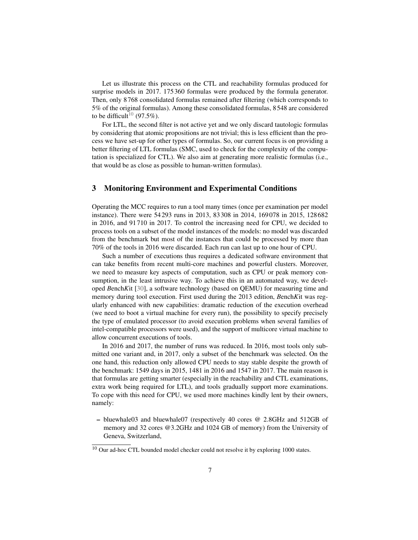Let us illustrate this process on the CTL and reachability formulas produced for surprise models in 2017. 175 360 formulas were produced by the formula generator. Then, only 8 768 consolidated formulas remained after filtering (which corresponds to 5% of the original formulas). Among these consolidated formulas, 8 548 are considered to be difficult<sup>[10](#page-6-1)</sup> (97.5%).

For LTL, the second filter is not active yet and we only discard tautologic formulas by considering that atomic propositions are not trivial; this is less efficient than the process we have set-up for other types of formulas. So, our current focus is on providing a better filtering of LTL formulas (SMC, used to check for the complexity of the computation is specialized for CTL). We also aim at generating more realistic formulas (i.e., that would be as close as possible to human-written formulas).

# <span id="page-6-0"></span>3 Monitoring Environment and Experimental Conditions

Operating the MCC requires to run a tool many times (once per examination per model instance). There were 54 293 runs in 2013, 83 308 in 2014, 169 078 in 2015, 128 682 in 2016, and 91 710 in 2017. To control the increasing need for CPU, we decided to process tools on a subset of the model instances of the models: no model was discarded from the benchmark but most of the instances that could be processed by more than 70% of the tools in 2016 were discarded. Each run can last up to one hour of CPU.

Such a number of executions thus requires a dedicated software environment that can take benefits from recent multi-core machines and powerful clusters. Moreover, we need to measure key aspects of computation, such as CPU or peak memory consumption, in the least intrusive way. To achieve this in an automated way, we developed *B*ench*K*it [\[30\]](#page-25-7), a software technology (based on QEMU) for measuring time and memory during tool execution. First used during the 2013 edition, *B*ench*K*it was regularly enhanced with new capabilities: dramatic reduction of the execution overhead (we need to boot a virtual machine for every run), the possibility to specify precisely the type of emulated processor (to avoid execution problems when several families of intel-compatible processors were used), and the support of multicore virtual machine to allow concurrent executions of tools.

In 2016 and 2017, the number of runs was reduced. In 2016, most tools only submitted one variant and, in 2017, only a subset of the benchmark was selected. On the one hand, this reduction only allowed CPU needs to stay stable despite the growth of the benchmark: 1549 days in 2015, 1481 in 2016 and 1547 in 2017. The main reason is that formulas are getting smarter (especially in the reachability and CTL examinations, extra work being required for LTL), and tools gradually support more examinations. To cope with this need for CPU, we used more machines kindly lent by their owners, namely:

– bluewhale03 and bluewhale07 (respectively 40 cores @ 2.8GHz and 512GB of memory and 32 cores @3.2GHz and 1024 GB of memory) from the University of Geneva, Switzerland,

<span id="page-6-1"></span><sup>&</sup>lt;sup>10</sup> Our ad-hoc CTL bounded model checker could not resolve it by exploring 1000 states.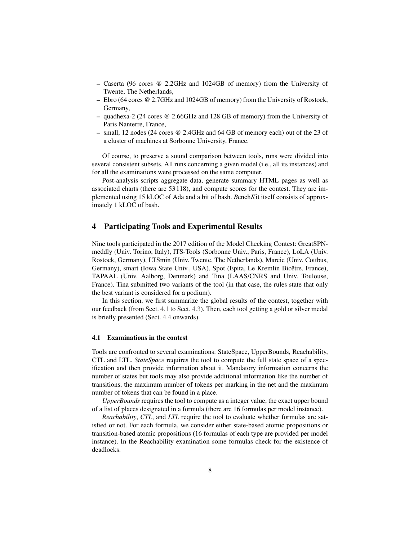- Caserta (96 cores @ 2.2GHz and 1024GB of memory) from the University of Twente, The Netherlands,
- Ebro (64 cores @ 2.7GHz and 1024GB of memory) from the University of Rostock, Germany,
- quadhexa-2 (24 cores @ 2.66GHz and 128 GB of memory) from the University of Paris Nanterre, France,
- small, 12 nodes (24 cores @ 2.4GHz and 64 GB of memory each) out of the 23 of a cluster of machines at Sorbonne University, France.

Of course, to preserve a sound comparison between tools, runs were divided into several consistent subsets. All runs concerning a given model (i.e., all its instances) and for all the examinations were processed on the same computer.

Post-analysis scripts aggregate data, generate summary HTML pages as well as associated charts (there are 53 118), and compute scores for the contest. They are implemented using 15 kLOC of Ada and a bit of bash. *B*ench*K*it itself consists of approximately 1 kLOC of bash.

# <span id="page-7-0"></span>4 Participating Tools and Experimental Results

Nine tools participated in the 2017 edition of the Model Checking Contest: GreatSPNmeddly (Univ. Torino, Italy), ITS-Tools (Sorbonne Univ., Paris, France), LoLA (Univ. Rostock, Germany), LTSmin (Univ. Twente, The Netherlands), Marcie (Univ. Cottbus, Germany), smart (Iowa State Univ., USA), Spot (Epita, Le Kremlin Bicêtre, France), TAPAAL (Univ. Aalborg, Denmark) and Tina (LAAS/CNRS and Univ. Toulouse, France). Tina submitted two variants of the tool (in that case, the rules state that only the best variant is considered for a podium).

In this section, we first summarize the global results of the contest, together with our feedback (from Sect. [4.1](#page-7-1) to Sect. [4.3\)](#page-9-0). Then, each tool getting a gold or silver medal is briefly presented (Sect. [4.4](#page-11-0) onwards).

#### <span id="page-7-1"></span>4.1 Examinations in the contest

Tools are confronted to several examinations: StateSpace, UpperBounds, Reachability, CTL and LTL. *StateSpace* requires the tool to compute the full state space of a specification and then provide information about it. Mandatory information concerns the number of states but tools may also provide additional information like the number of transitions, the maximum number of tokens per marking in the net and the maximum number of tokens that can be found in a place.

*UpperBounds* requires the tool to compute as a integer value, the exact upper bound of a list of places designated in a formula (there are 16 formulas per model instance).

*Reachability*, *CTL*, and *LTL* require the tool to evaluate whether formulas are satisfied or not. For each formula, we consider either state-based atomic propositions or transition-based atomic propositions (16 formulas of each type are provided per model instance). In the Reachability examination some formulas check for the existence of deadlocks.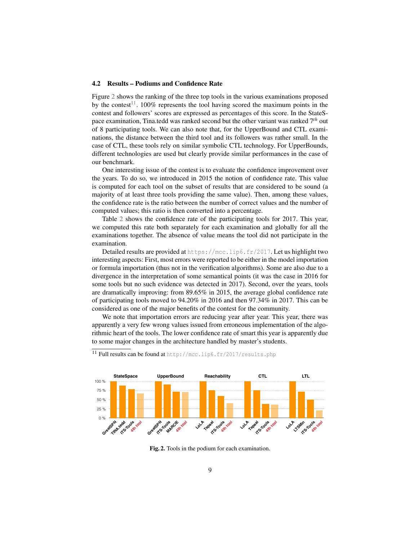## 4.2 Results – Podiums and Confidence Rate

Figure [2](#page-8-0) shows the ranking of the three top tools in the various examinations proposed by the contest<sup>[11](#page-8-1)</sup>. 100% represents the tool having scored the maximum points in the contest and followers' scores are expressed as percentages of this score. In the StateSpace examination, Tina.tedd was ranked second but the other variant was ranked 7*th* out of 8 participating tools. We can also note that, for the UpperBound and CTL examinations, the distance between the third tool and its followers was rather small. In the case of CTL, these tools rely on similar symbolic CTL technology. For UpperBounds, different technologies are used but clearly provide similar performances in the case of our benchmark.

One interesting issue of the contest is to evaluate the confidence improvement over the years. To do so, we introduced in 2015 the notion of confidence rate. This value is computed for each tool on the subset of results that are considered to be sound (a majority of at least three tools providing the same value). Then, among these values, the confidence rate is the ratio between the number of correct values and the number of computed values; this ratio is then converted into a percentage.

Table [2](#page-9-1) shows the confidence rate of the participating tools for 2017. This year, we computed this rate both separately for each examination and globally for all the examinations together. The absence of value means the tool did not participate in the examination.

Detailed results are provided at <https://mcc.lip6.fr/2017>. Let us highlight two interesting aspects: First, most errors were reported to be either in the model importation or formula importation (thus not in the verification algorithms). Some are also due to a divergence in the interpretation of some semantical points (it was the case in 2016 for some tools but no such evidence was detected in 2017). Second, over the years, tools are dramatically improving: from 89.65% in 2015, the average global confidence rate of participating tools moved to 94.20% in 2016 and then 97.34% in 2017. This can be considered as one of the major benefits of the contest for the community.

We note that importation errors are reducing year after year. This year, there was apparently a very few wrong values issued from erroneous implementation of the algorithmic heart of the tools. The lower confidence rate of smart this year is apparently due to some major changes in the architecture handled by master's students.



<span id="page-8-1"></span><sup>11</sup> Full results can be found at <http://mcc.lip6.fr/2017/results.php>

<span id="page-8-0"></span>Fig. 2. Tools in the podium for each examination.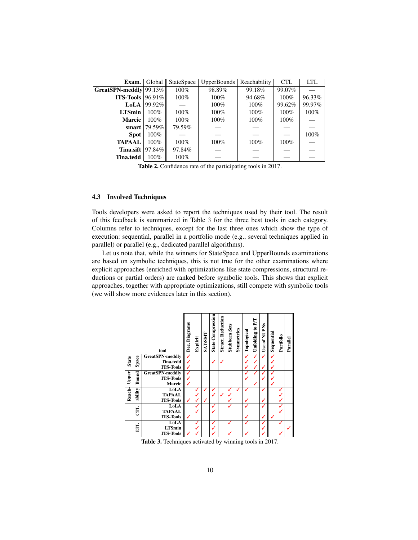| Exam.                  | Global  |         | StateSpace   UpperBounds | Reachability | CTL     | <b>LTL</b> |
|------------------------|---------|---------|--------------------------|--------------|---------|------------|
| GreatSPN-meddly 99.13% |         | 100%    | 98.89%                   | 99.18%       | 99.07%  |            |
| <b>ITS-Tools</b>       | 96.91%  | 100%    | $100\%$                  | 94.68%       | 100%    | 96.33%     |
| LoLA                   | 99.92%  |         | $100\%$                  | 100%         | 99.62%  | 99.97%     |
| <b>LTSmin</b>          | $100\%$ | 100%    | $100\%$                  | 100%         | $100\%$ | 100%       |
| <b>Marcie</b>          | $100\%$ | 100%    | $100\%$                  | 100%         | 100%    |            |
| smart                  | 79.59%  | 79.59%  |                          |              |         |            |
| <b>Spot</b>            | 100%    |         |                          |              |         | 100%       |
| <b>TAPAAL</b>          | $100\%$ | $100\%$ | 100%                     | 100%         | 100%    |            |
| Tina.sift              | 97.84%  | 97.84%  |                          |              |         |            |
| <b>Tina.tedd</b>       | $100\%$ | 100%    |                          |              |         |            |

<span id="page-9-1"></span>Table 2. Confidence rate of the participating tools in 2017.

## <span id="page-9-0"></span>4.3 Involved Techniques

Tools developers were asked to report the techniques used by their tool. The result of this feedback is summarized in Table [3](#page-9-2) for the three best tools in each category. Columns refer to techniques, except for the last three ones which show the type of execution: sequential, parallel in a portfolio mode (e.g., several techniques applied in parallel) or parallel (e.g., dedicated parallel algorithms).

Let us note that, while the winners for StateSpace and UpperBounds examinations are based on symbolic techniques, this is not true for the other examinations where explicit approaches (enriched with optimizations like state compressions, structural reductions or partial orders) are ranked before symbolic tools. This shows that explicit approaches, together with appropriate optimizations, still compete with symbolic tools (we will show more evidences later in this section).



<span id="page-9-2"></span>Table 3. Techniques activated by winning tools in 2017.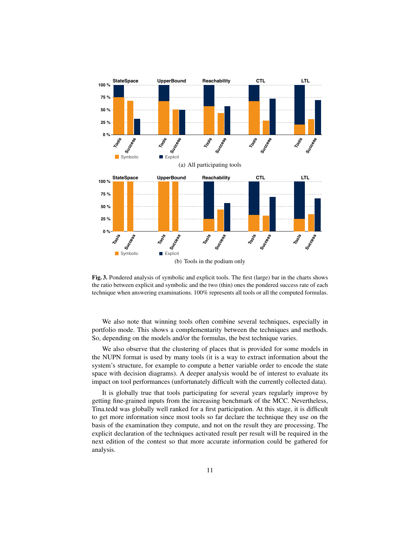<span id="page-10-1"></span>

<span id="page-10-0"></span>Fig. 3. Pondered analysis of symbolic and explicit tools. The first (large) bar in the charts shows the ratio between explicit and symbolic and the two (thin) ones the pondered success rate of each technique when answering examinations. 100% represents all tools or all the computed formulas.

We also note that winning tools often combine several techniques, especially in portfolio mode. This shows a complementarity between the techniques and methods. So, depending on the models and/or the formulas, the best technique varies.

We also observe that the clustering of places that is provided for some models in the NUPN format is used by many tools (it is a way to extract information about the system's structure, for example to compute a better variable order to encode the state space with decision diagrams). A deeper analysis would be of interest to evaluate its impact on tool performances (unfortunately difficult with the currently collected data).

It is globally true that tools participating for several years regularly improve by getting fine-grained inputs from the increasing benchmark of the MCC. Nevertheless, Tina.tedd was globally well ranked for a first participation. At this stage, it is difficult to get more information since most tools so far declare the technique they use on the basis of the examination they compute, and not on the result they are processing. The explicit declaration of the techniques activated result per result will be required in the next edition of the contest so that more accurate information could be gathered for analysis.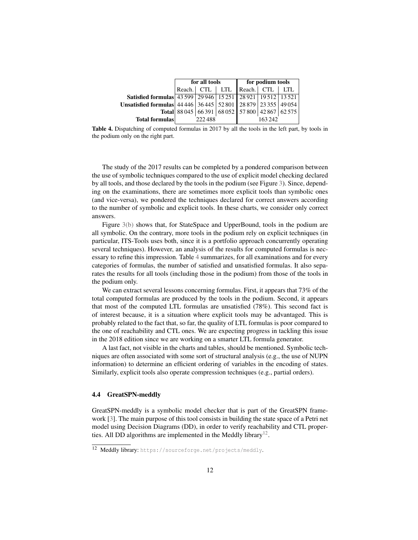|                                                                | for all tools | for podium tools                                       |        |     |  |  |
|----------------------------------------------------------------|---------------|--------------------------------------------------------|--------|-----|--|--|
|                                                                |               | Reach. CTL   LTL   Reach. CTL                          |        | LTL |  |  |
| Satisfied formulas 43 599 29 946 15 251 28 921 19 512 13 521   |               |                                                        |        |     |  |  |
| Unsatisfied formulas 44 446 36 445 52 801 28 879 23 355 49 054 |               |                                                        |        |     |  |  |
|                                                                |               | <b>Total</b> 88 045 66 391 68 052 57 800 42 867 62 575 |        |     |  |  |
| <b>Total formulas</b>                                          | 222488        |                                                        | 163242 |     |  |  |

<span id="page-11-1"></span>Table 4. Dispatching of computed formulas in 2017 by all the tools in the left part, by tools in the podium only on the right part.

The study of the 2017 results can be completed by a pondered comparison between the use of symbolic techniques compared to the use of explicit model checking declared by all tools, and those declared by the tools in the podium (see Figure [3\)](#page-10-0). Since, depending on the examinations, there are sometimes more explicit tools than symbolic ones (and vice-versa), we pondered the techniques declared for correct answers according to the number of symbolic and explicit tools. In these charts, we consider only correct answers.

Figure [3\(b\)](#page-10-1) shows that, for StateSpace and UpperBound, tools in the podium are all symbolic. On the contrary, more tools in the podium rely on explicit techniques (in particular, ITS-Tools uses both, since it is a portfolio approach concurrently operating several techniques). However, an analysis of the results for computed formulas is necessary to refine this impression. Table [4](#page-11-1) summarizes, for all examinations and for every categories of formulas, the number of satisfied and unsatisfied formulas. It also separates the results for all tools (including those in the podium) from those of the tools in the podium only.

We can extract several lessons concerning formulas. First, it appears that 73% of the total computed formulas are produced by the tools in the podium. Second, it appears that most of the computed LTL formulas are unsatisfied (78%). This second fact is of interest because, it is a situation where explicit tools may be advantaged. This is probably related to the fact that, so far, the quality of LTL formulas is poor compared to the one of reachability and CTL ones. We are expecting progress in tackling this issue in the 2018 edition since we are working on a smarter LTL formula generator.

A last fact, not visible in the charts and tables, should be mentioned. Symbolic techniques are often associated with some sort of structural analysis (e.g., the use of NUPN information) to determine an efficient ordering of variables in the encoding of states. Similarly, explicit tools also operate compression techniques (e.g., partial orders).

## <span id="page-11-0"></span>4.4 GreatSPN-meddly

GreatSPN-meddly is a symbolic model checker that is part of the GreatSPN framework [\[3\]](#page-24-5). The main purpose of this tool consists in building the state space of a Petri net model using Decision Diagrams (DD), in order to verify reachability and CTL proper-ties. All DD algorithms are implemented in the Meddly library<sup>[12](#page-11-2)</sup>.

<span id="page-11-2"></span><sup>12</sup> Meddly library: <https://sourceforge.net/projects/meddly>.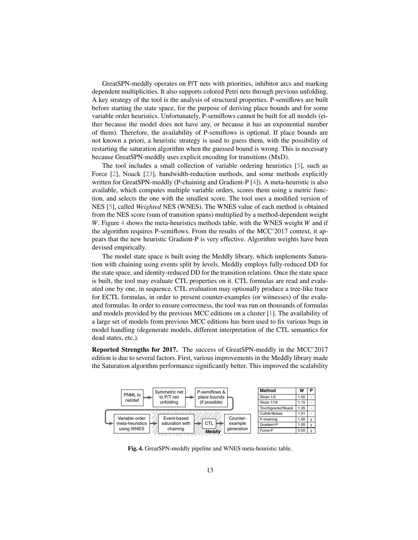GreatSPN-meddly operates on P/T nets with priorities, inhibitor arcs and marking dependent multiplicities. It also supports colored Petri nets through previous unfolding. A key strategy of the tool is the analysis of structural properties. P-semiflows are built before starting the state space, for the purpose of deriving place bounds and for some variable order heuristics. Unfortunately, P-semiflows cannot be built for all models (either because the model does not have any, or because it has an exponential number of them). Therefore, the availability of P-semiflows is optional. If place bounds are not known a priori, a heuristic strategy is used to guess them, with the possibility of restarting the saturation algorithm when the guessed bound is wrong. This is necessary because GreatSPN-meddly uses explicit encoding for transitions (MxD).

The tool includes a small collection of variable ordering heuristics [\[5\]](#page-24-6), such as Force [\[2\]](#page-24-7), Noack [\[23\]](#page-25-8), bandwidth-reduction methods, and some methods explicitly written for GreatSPN-meddly (P-chaining and Gradient-P [\[4\]](#page-24-8)). A meta-heuristic is also available, which computes multiple variable orders, scores them using a metric function, and selects the one with the smallest score. The tool uses a modified version of NES [\[5\]](#page-24-6), called *Weighted* NES (WNES). The WNES value of each method is obtained from the NES score (sum of transition spans) multiplied by a method-dependent weight *W*. Figure [4](#page-12-0) shows the meta-heuristics methods table, with the WNES weight *W* and if the algorithm requires P-semiflows. From the results of the MCC'2017 context, it appears that the new heuristic Gradient-P is very effective. Algorithm weights have been devised empirically.

The model state space is built using the Meddly library, which implements Saturation with chaining using events split by levels. Meddly employs fully-reduced DD for the state space, and identity-reduced DD for the transition relations. Once the state space is built, the tool may evaluate CTL properties on it. CTL formulas are read and evaluated one by one, in sequence. CTL evaluation may optionally produce a tree-like trace for ECTL formulas, in order to present counter-examples (or witnesses) of the evaluated formulas. In order to ensure correctness, the tool was run on thousands of formulas and models provided by the previous MCC editions on a cluster [\[1\]](#page-23-1). The availability of a large set of models from previous MCC editions has been used to fix various bugs in model handling (degenerate models, different interpretation of the CTL semantics for dead states, etc.).

Reported Strengths for 2017. The success of GreatSPN-meddly in the MCC'2017 edition is due to several factors. First, various improvements in the Meddly library made the Saturation algorithm performance significantly better. This improved the scalability



<span id="page-12-0"></span>Fig. 4. GreatSPN-meddly pipeline and WNES meta-heuristic table.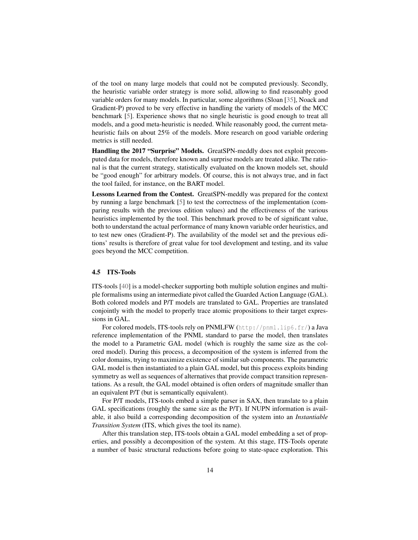of the tool on many large models that could not be computed previously. Secondly, the heuristic variable order strategy is more solid, allowing to find reasonably good variable orders for many models. In particular, some algorithms (Sloan [\[35\]](#page-25-9), Noack and Gradient-P) proved to be very effective in handling the variety of models of the MCC benchmark [\[5\]](#page-24-6). Experience shows that no single heuristic is good enough to treat all models, and a good meta-heuristic is needed. While reasonably good, the current metaheuristic fails on about 25% of the models. More research on good variable ordering metrics is still needed.

Handling the 2017 "Surprise" Models. GreatSPN-meddly does not exploit precomputed data for models, therefore known and surprise models are treated alike. The rational is that the current strategy, statistically evaluated on the known models set, should be "good enough" for arbitrary models. Of course, this is not always true, and in fact the tool failed, for instance, on the BART model.

Lessons Learned from the Contest. GreatSPN-meddly was prepared for the context by running a large benchmark [\[5\]](#page-24-6) to test the correctness of the implementation (comparing results with the previous edition values) and the effectiveness of the various heuristics implemented by the tool. This benchmark proved to be of significant value, both to understand the actual performance of many known variable order heuristics, and to test new ones (Gradient-P). The availability of the model set and the previous editions' results is therefore of great value for tool development and testing, and its value goes beyond the MCC competition.

## 4.5 ITS-Tools

ITS-tools [\[40\]](#page-26-2) is a model-checker supporting both multiple solution engines and multiple formalisms using an intermediate pivot called the Guarded Action Language (GAL). Both colored models and P/T models are translated to GAL. Properties are translated conjointly with the model to properly trace atomic propositions to their target expressions in GAL.

For colored models, ITS-tools rely on PNMLFW (<http://pnml.lip6.fr/>) a Java reference implementation of the PNML standard to parse the model, then translates the model to a Parametric GAL model (which is roughly the same size as the colored model). During this process, a decomposition of the system is inferred from the color domains, trying to maximize existence of similar sub components. The parametric GAL model is then instantiated to a plain GAL model, but this process exploits binding symmetry as well as sequences of alternatives that provide compact transition representations. As a result, the GAL model obtained is often orders of magnitude smaller than an equivalent P/T (but is semantically equivalent).

For P/T models, ITS-tools embed a simple parser in SAX, then translate to a plain GAL specifications (roughly the same size as the P/T). If NUPN information is available, it also build a corresponding decomposition of the system into an *Instantiable Transition System* (ITS, which gives the tool its name).

After this translation step, ITS-tools obtain a GAL model embedding a set of properties, and possibly a decomposition of the system. At this stage, ITS-Tools operate a number of basic structural reductions before going to state-space exploration. This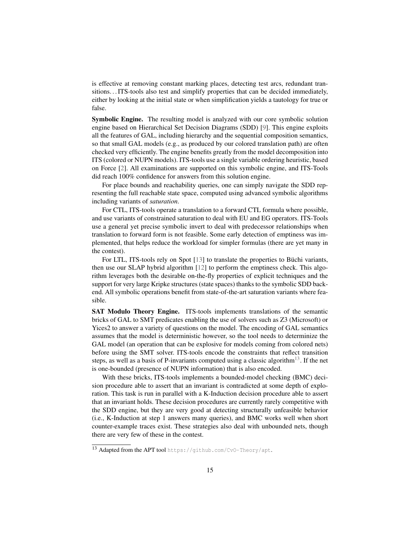is effective at removing constant marking places, detecting test arcs, redundant transitions. . ITS-tools also test and simplify properties that can be decided immediately, either by looking at the initial state or when simplification yields a tautology for true or false.

Symbolic Engine. The resulting model is analyzed with our core symbolic solution engine based on Hierarchical Set Decision Diagrams (SDD) [\[9\]](#page-24-9). This engine exploits all the features of GAL, including hierarchy and the sequential composition semantics, so that small GAL models (e.g., as produced by our colored translation path) are often checked very efficiently. The engine benefits greatly from the model decomposition into ITS (colored or NUPN models). ITS-tools use a single variable ordering heuristic, based on Force [\[2\]](#page-24-7). All examinations are supported on this symbolic engine, and ITS-Tools did reach 100% confidence for answers from this solution engine.

For place bounds and reachability queries, one can simply navigate the SDD representing the full reachable state space, computed using advanced symbolic algorithms including variants of *saturation*.

For CTL, ITS-tools operate a translation to a forward CTL formula where possible, and use variants of constrained saturation to deal with EU and EG operators. ITS-Tools use a general yet precise symbolic invert to deal with predecessor relationships when translation to forward form is not feasible. Some early detection of emptiness was implemented, that helps reduce the workload for simpler formulas (there are yet many in the contest).

For LTL, ITS-tools rely on Spot  $[13]$  to translate the properties to Büchi variants, then use our SLAP hybrid algorithm [\[12\]](#page-24-11) to perform the emptiness check. This algorithm leverages both the desirable on-the-fly properties of explicit techniques and the support for very large Kripke structures (state spaces) thanks to the symbolic SDD backend. All symbolic operations benefit from state-of-the-art saturation variants where feasible.

SAT Modulo Theory Engine. ITS-tools implements translations of the semantic bricks of GAL to SMT predicates enabling the use of solvers such as Z3 (Microsoft) or Yices2 to answer a variety of questions on the model. The encoding of GAL semantics assumes that the model is deterministic however, so the tool needs to determinize the GAL model (an operation that can be explosive for models coming from colored nets) before using the SMT solver. ITS-tools encode the constraints that reflect transition steps, as well as a basis of P-invariants computed using a classic algorithm<sup>[13](#page-14-0)</sup>. If the net is one-bounded (presence of NUPN information) that is also encoded.

With these bricks, ITS-tools implements a bounded-model checking (BMC) decision procedure able to assert that an invariant is contradicted at some depth of exploration. This task is run in parallel with a K-Induction decision procedure able to assert that an invariant holds. These decision procedures are currently rarely competitive with the SDD engine, but they are very good at detecting structurally unfeasible behavior (i.e., K-Induction at step 1 answers many queries), and BMC works well when short counter-example traces exist. These strategies also deal with unbounded nets, though there are very few of these in the contest.

<span id="page-14-0"></span><sup>13</sup> Adapted from the APT tool <https://github.com/CvO-Theory/apt>.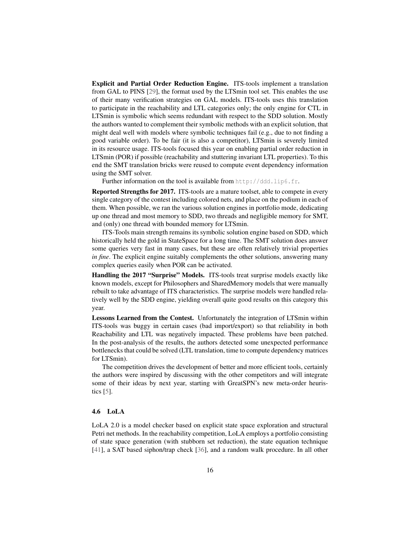Explicit and Partial Order Reduction Engine. ITS-tools implement a translation from GAL to PINS [\[29\]](#page-25-10), the format used by the LTSmin tool set. This enables the use of their many verification strategies on GAL models. ITS-tools uses this translation to participate in the reachability and LTL categories only; the only engine for CTL in LTSmin is symbolic which seems redundant with respect to the SDD solution. Mostly the authors wanted to complement their symbolic methods with an explicit solution, that might deal well with models where symbolic techniques fail (e.g., due to not finding a good variable order). To be fair (it is also a competitor), LTSmin is severely limited in its resource usage. ITS-tools focused this year on enabling partial order reduction in LTSmin (POR) if possible (reachability and stuttering invariant LTL properties). To this end the SMT translation bricks were reused to compute event dependency information using the SMT solver.

Further information on the tool is available from <http://ddd.lip6.fr>.

Reported Strengths for 2017. ITS-tools are a mature toolset, able to compete in every single category of the contest including colored nets, and place on the podium in each of them. When possible, we ran the various solution engines in portfolio mode, dedicating up one thread and most memory to SDD, two threads and negligible memory for SMT, and (only) one thread with bounded memory for LTSmin.

ITS-Tools main strength remains its symbolic solution engine based on SDD, which historically held the gold in StateSpace for a long time. The SMT solution does answer some queries very fast in many cases, but these are often relatively trivial properties *in fine*. The explicit engine suitably complements the other solutions, answering many complex queries easily when POR can be activated.

Handling the 2017 "Surprise" Models. ITS-tools treat surprise models exactly like known models, except for Philosophers and SharedMemory models that were manually rebuilt to take advantage of ITS characteristics. The surprise models were handled relatively well by the SDD engine, yielding overall quite good results on this category this year.

Lessons Learned from the Contest. Unfortunately the integration of LTSmin within ITS-tools was buggy in certain cases (bad import/export) so that reliability in both Reachability and LTL was negatively impacted. These problems have been patched. In the post-analysis of the results, the authors detected some unexpected performance bottlenecks that could be solved (LTL translation, time to compute dependency matrices for LTSmin).

The competition drives the development of better and more efficient tools, certainly the authors were inspired by discussing with the other competitors and will integrate some of their ideas by next year, starting with GreatSPN's new meta-order heuristics [\[5\]](#page-24-6).

## 4.6 LoLA

LoLA 2.0 is a model checker based on explicit state space exploration and structural Petri net methods. In the reachability competition, LoLA employs a portfolio consisting of state space generation (with stubborn set reduction), the state equation technique [\[41\]](#page-26-3), a SAT based siphon/trap check [\[36\]](#page-26-4), and a random walk procedure. In all other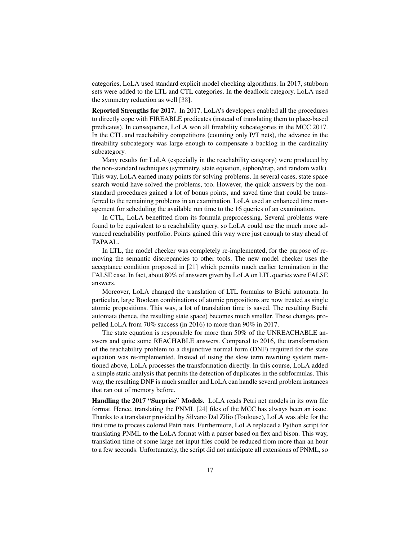categories, LoLA used standard explicit model checking algorithms. In 2017, stubborn sets were added to the LTL and CTL categories. In the deadlock category, LoLA used the symmetry reduction as well [\[38\]](#page-26-5).

Reported Strengths for 2017. In 2017, LoLA's developers enabled all the procedures to directly cope with FIREABLE predicates (instead of translating them to place-based predicates). In consequence, LoLA won all fireability subcategories in the MCC 2017. In the CTL and reachability competitions (counting only P/T nets), the advance in the fireability subcategory was large enough to compensate a backlog in the cardinality subcategory.

Many results for LoLA (especially in the reachability category) were produced by the non-standard techniques (symmetry, state equation, siphon/trap, and random walk). This way, LoLA earned many points for solving problems. In several cases, state space search would have solved the problems, too. However, the quick answers by the nonstandard procedures gained a lot of bonus points, and saved time that could be transferred to the remaining problems in an examination. LoLA used an enhanced time management for scheduling the available run time to the 16 queries of an examination.

In CTL, LoLA benefitted from its formula preprocessing. Several problems were found to be equivalent to a reachability query, so LoLA could use the much more advanced reachability portfolio. Points gained this way were just enough to stay ahead of TAPAAL.

In LTL, the model checker was completely re-implemented, for the purpose of removing the semantic discrepancies to other tools. The new model checker uses the acceptance condition proposed in [\[21\]](#page-25-11) which permits much earlier termination in the FALSE case. In fact, about 80% of answers given by LoLA on LTL queries were FALSE answers.

Moreover, LoLA changed the translation of LTL formulas to Büchi automata. In particular, large Boolean combinations of atomic propositions are now treated as single atomic propositions. This way, a lot of translation time is saved. The resulting Büchi automata (hence, the resulting state space) becomes much smaller. These changes propelled LoLA from 70% success (in 2016) to more than 90% in 2017.

The state equation is responsible for more than 50% of the UNREACHABLE answers and quite some REACHABLE answers. Compared to 2016, the transformation of the reachability problem to a disjunctive normal form (DNF) required for the state equation was re-implemented. Instead of using the slow term rewriting system mentioned above, LoLA processes the transformation directly. In this course, LoLA added a simple static analysis that permits the detection of duplicates in the subformulas. This way, the resulting DNF is much smaller and LoLA can handle several problem instances that ran out of memory before.

Handling the 2017 "Surprise" Models. LoLA reads Petri net models in its own file format. Hence, translating the PNML [\[24\]](#page-25-12) files of the MCC has always been an issue. Thanks to a translator provided by Silvano Dal Zilio (Toulouse), LoLA was able for the first time to process colored Petri nets. Furthermore, LoLA replaced a Python script for translating PNML to the LoLA format with a parser based on flex and bison. This way, translation time of some large net input files could be reduced from more than an hour to a few seconds. Unfortunately, the script did not anticipate all extensions of PNML, so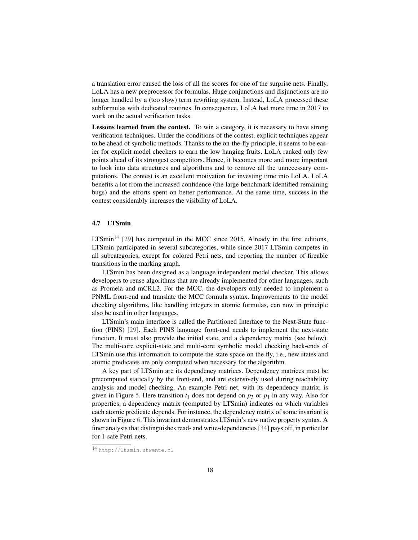a translation error caused the loss of all the scores for one of the surprise nets. Finally, LoLA has a new preprocessor for formulas. Huge conjunctions and disjunctions are no longer handled by a (too slow) term rewriting system. Instead, LoLA processed these subformulas with dedicated routines. In consequence, LoLA had more time in 2017 to work on the actual verification tasks.

Lessons learned from the contest. To win a category, it is necessary to have strong verification techniques. Under the conditions of the contest, explicit techniques appear to be ahead of symbolic methods. Thanks to the on-the-fly principle, it seems to be easier for explicit model checkers to earn the low hanging fruits. LoLA ranked only few points ahead of its strongest competitors. Hence, it becomes more and more important to look into data structures and algorithms and to remove all the unnecessary computations. The contest is an excellent motivation for investing time into LoLA. LoLA benefits a lot from the increased confidence (the large benchmark identified remaining bugs) and the efforts spent on better performance. At the same time, success in the contest considerably increases the visibility of LoLA.

## 4.7 LTSmin

LTSmin<sup>[14](#page-17-0)</sup> [\[29\]](#page-25-10) has competed in the MCC since 2015. Already in the first editions, LTSmin participated in several subcategories, while since 2017 LTSmin competes in all subcategories, except for colored Petri nets, and reporting the number of fireable transitions in the marking graph.

LTSmin has been designed as a language independent model checker. This allows developers to reuse algorithms that are already implemented for other languages, such as Promela and mCRL2. For the MCC, the developers only needed to implement a PNML front-end and translate the MCC formula syntax. Improvements to the model checking algorithms, like handling integers in atomic formulas, can now in principle also be used in other languages.

LTSmin's main interface is called the Partitioned Interface to the Next-State function (PINS) [\[29\]](#page-25-10). Each PINS language front-end needs to implement the next-state function. It must also provide the initial state, and a dependency matrix (see below). The multi-core explicit-state and multi-core symbolic model checking back-ends of LTSmin use this information to compute the state space on the fly, i.e., new states and atomic predicates are only computed when necessary for the algorithm.

A key part of LTSmin are its dependency matrices. Dependency matrices must be precomputed statically by the front-end, and are extensively used during reachability analysis and model checking. An example Petri net, with its dependency matrix, is given in Figure [5.](#page-18-0) Here transition  $t_1$  does not depend on  $p_3$  or  $p_1$  in any way. Also for properties, a dependency matrix (computed by LTSmin) indicates on which variables each atomic predicate depends. For instance, the dependency matrix of some invariant is shown in Figure [6.](#page-19-0) This invariant demonstrates LTSmin's new native property syntax. A finer analysis that distinguishes read- and write-dependencies [\[34\]](#page-25-13) pays off, in particular for 1-safe Petri nets.

<span id="page-17-0"></span><sup>14</sup> <http://ltsmin.utwente.nl>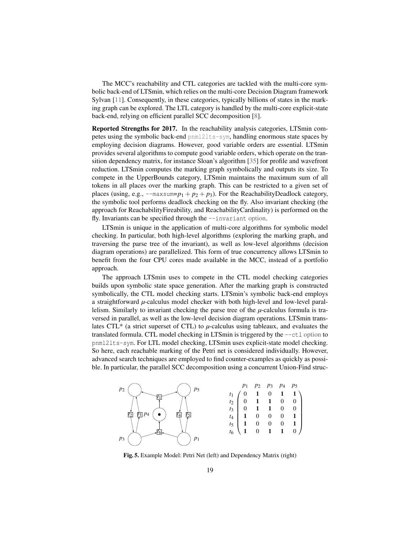The MCC's reachability and CTL categories are tackled with the multi-core symbolic back-end of LTSmin, which relies on the multi-core Decision Diagram framework Sylvan [\[11\]](#page-24-12). Consequently, in these categories, typically billions of states in the marking graph can be explored. The LTL category is handled by the multi-core explicit-state back-end, relying on efficient parallel SCC decomposition [\[8\]](#page-24-13).

Reported Strengths for 2017. In the reachability analysis categories, LTSmin competes using the symbolic back-end [pnml2lts-sym](http://ltsmin.utwente.nl/assets/man/pnml2lts-sym.html), handling enormous state spaces by employing decision diagrams. However, good variable orders are essential. LTSmin provides several algorithms to compute good variable orders, which operate on the transition dependency matrix, for instance Sloan's algorithm [\[35\]](#page-25-9) for profile and wavefront reduction. LTSmin computes the marking graph symbolically and outputs its size. To compete in the UpperBounds category, LTSmin maintains the maximum sum of all tokens in all places over the marking graph. This can be restricted to a given set of places (using, e.g.,  $-\text{maxsum}=p_1 + p_2 + p_3$ ). For the ReachabilityDeadlock category, the symbolic tool performs deadlock checking on the fly. Also invariant checking (the approach for ReachabilityFireability, and ReachabilityCardinality) is performed on the fly. Invariants can be specified through the  $-$ invariant [option.](http://ltsmin.utwente.nl/assets/man/ltsmin-pred.html)

LTSmin is unique in the application of multi-core algorithms for symbolic model checking. In particular, both high-level algorithms (exploring the marking graph, and traversing the parse tree of the invariant), as well as low-level algorithms (decision diagram operations) are parallelized. This form of true concurrency allows LTSmin to benefit from the four CPU cores made available in the MCC, instead of a portfolio approach.

The approach LTSmin uses to compete in the CTL model checking categories builds upon symbolic state space generation. After the marking graph is constructed symbolically, the CTL model checking starts. LTSmin's symbolic back-end employs a straightforward *µ*-calculus model checker with both high-level and low-level parallelism. Similarly to invariant checking the parse tree of the *µ*-calculus formula is traversed in parallel, as well as the low-level decision diagram operations. LTSmin translates CTL $*$  (a strict superset of CTL) to  $\mu$ -calculus using tableaux, and evaluates the translated formula. CTL model checking in LTSmin is triggered by the --ctl [option](http://ltsmin.utwente.nl/assets/man/ltsmin-ctl.html) to pnml2lts-sym. For LTL model checking, LTSmin uses explicit-state model checking. So here, each reachable marking of the Petri net is considered individually. However, advanced search techniques are employed to find counter-examples as quickly as possible. In particular, the parallel SCC decomposition using a concurrent Union-Find struc-



<span id="page-18-0"></span>Fig. 5. Example Model: Petri Net (left) and Dependency Matrix (right)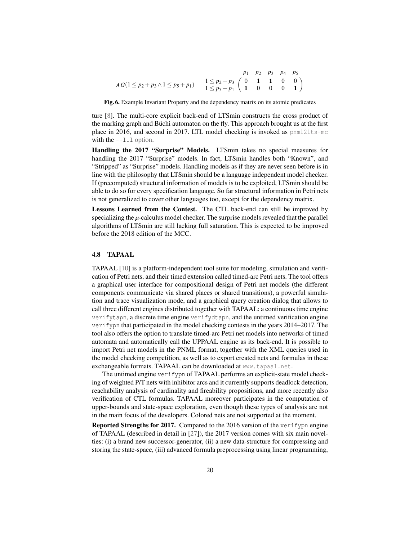|                                                |                                                                                                                                                           |  |  | $p_1$ $p_2$ $p_3$ $p_4$ $p_5$ |
|------------------------------------------------|-----------------------------------------------------------------------------------------------------------------------------------------------------------|--|--|-------------------------------|
| $AG(1 \leq p_2 + p_3 \wedge 1 \leq p_5 + p_1)$ |                                                                                                                                                           |  |  |                               |
|                                                | $1 \leq p_2+p_3 \left( \begin{array}{ccc} 0 & \textbf{1} & \textbf{1} & 0 & 0 \ 1 \leq p_5+p_1 & \textbf{1} & 0 & 0 & 0 & \textbf{1} \end{array} \right)$ |  |  |                               |

<span id="page-19-0"></span>Fig. 6. Example Invariant Property and the dependency matrix on its atomic predicates

ture [\[8\]](#page-24-13). The multi-core explicit back-end of LTSmin constructs the cross product of the marking graph and Büchi automaton on the fly. This approach brought us at the first place in 2016, and second in 2017. LTL model checking is invoked as  $pmm221ts-mc$ with the  $-1t1$  [option.](http://ltsmin.utwente.nl/assets/man/ltsmin-ltl.html)

Handling the 2017 "Surprise" Models. LTSmin takes no special measures for handling the 2017 "Surprise" models. In fact, LTSmin handles both "Known", and "Stripped" as "Surprise" models. Handling models as if they are never seen before is in line with the philosophy that LTSmin should be a language independent model checker. If (precomputed) structural information of models is to be exploited, LTSmin should be able to do so for every specification language. So far structural information in Petri nets is not generalized to cover other languages too, except for the dependency matrix.

Lessons Learned from the Contest. The CTL back-end can still be improved by specializing the  $\mu$ -calculus model checker. The surprise models revealed that the parallel algorithms of LTSmin are still lacking full saturation. This is expected to be improved before the 2018 edition of the MCC.

# 4.8 TAPAAL

TAPAAL [\[10\]](#page-24-14) is a platform-independent tool suite for modeling, simulation and verification of Petri nets, and their timed extension called timed-arc Petri nets. The tool offers a graphical user interface for compositional design of Petri net models (the different components communicate via shared places or shared transitions), a powerful simulation and trace visualization mode, and a graphical query creation dialog that allows to call three different engines distributed together with TAPAAL: a continuous time engine verifytapn, a discrete time engine verifydtapn, and the untimed verification engine verifypn that participated in the model checking contests in the years 2014–2017. The tool also offers the option to translate timed-arc Petri net models into networks of timed automata and automatically call the UPPAAL engine as its back-end. It is possible to import Petri net models in the PNML format, together with the XML queries used in the model checking competition, as well as to export created nets and formulas in these exchangeable formats. TAPAAL can be downloaded at <www.tapaal.net>.

The untimed engine verifypn of TAPAAL performs an explicit-state model checking of weighted P/T nets with inhibitor arcs and it currently supports deadlock detection, reachability analysis of cardinality and fireability propositions, and more recently also verification of CTL formulas. TAPAAL moreover participates in the computation of upper-bounds and state-space exploration, even though these types of analysis are not in the main focus of the developers. Colored nets are not supported at the moment.

Reported Strengths for 2017. Compared to the 2016 version of the verifypn engine of TAPAAL (described in detail in [\[27\]](#page-25-14)), the 2017 version comes with six main novelties: (i) a brand new successor-generator, (ii) a new data-structure for compressing and storing the state-space, (iii) advanced formula preprocessing using linear programming,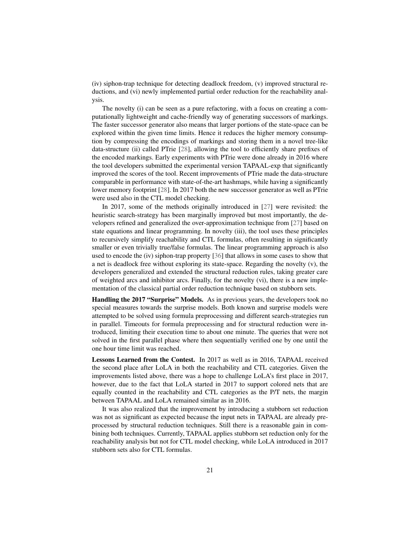(iv) siphon-trap technique for detecting deadlock freedom, (v) improved structural reductions, and (vi) newly implemented partial order reduction for the reachability analysis.

The novelty (i) can be seen as a pure refactoring, with a focus on creating a computationally lightweight and cache-friendly way of generating successors of markings. The faster successor generator also means that larger portions of the state-space can be explored within the given time limits. Hence it reduces the higher memory consumption by compressing the encodings of markings and storing them in a novel tree-like data-structure (ii) called PTrie [\[28\]](#page-25-15), allowing the tool to efficiently share prefixes of the encoded markings. Early experiments with PTrie were done already in 2016 where the tool developers submitted the experimental version TAPAAL-exp that significantly improved the scores of the tool. Recent improvements of PTrie made the data-structure comparable in performance with state-of-the-art hashmaps, while having a significantly lower memory footprint [\[28\]](#page-25-15). In 2017 both the new successor generator as well as PTrie were used also in the CTL model checking.

In 2017, some of the methods originally introduced in [\[27\]](#page-25-14) were revisited: the heuristic search-strategy has been marginally improved but most importantly, the developers refined and generalized the over-approximation technique from [\[27\]](#page-25-14) based on state equations and linear programming. In novelty (iii), the tool uses these principles to recursively simplify reachability and CTL formulas, often resulting in significantly smaller or even trivially true/false formulas. The linear programming approach is also used to encode the (iv) siphon-trap property [\[36\]](#page-26-4) that allows in some cases to show that a net is deadlock free without exploring its state-space. Regarding the novelty (v), the developers generalized and extended the structural reduction rules, taking greater care of weighted arcs and inhibitor arcs. Finally, for the novelty (vi), there is a new implementation of the classical partial order reduction technique based on stubborn sets.

Handling the 2017 "Surprise" Models. As in previous years, the developers took no special measures towards the surprise models. Both known and surprise models were attempted to be solved using formula preprocessing and different search-strategies run in parallel. Timeouts for formula preprocessing and for structural reduction were introduced, limiting their execution time to about one minute. The queries that were not solved in the first parallel phase where then sequentially verified one by one until the one hour time limit was reached.

Lessons Learned from the Contest. In 2017 as well as in 2016, TAPAAL received the second place after LoLA in both the reachability and CTL categories. Given the improvements listed above, there was a hope to challenge LoLA's first place in 2017, however, due to the fact that LoLA started in 2017 to support colored nets that are equally counted in the reachability and CTL categories as the P/T nets, the margin between TAPAAL and LoLA remained similar as in 2016.

It was also realized that the improvement by introducing a stubborn set reduction was not as significant as expected because the input nets in TAPAAL are already preprocessed by structural reduction techniques. Still there is a reasonable gain in combining both techniques. Currently, TAPAAL applies stubborn set reduction only for the reachability analysis but not for CTL model checking, while LoLA introduced in 2017 stubborn sets also for CTL formulas.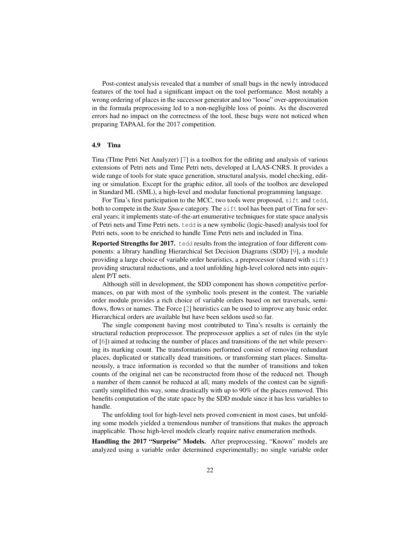Post-contest analysis revealed that a number of small bugs in the newly introduced features of the tool had a significant impact on the tool performance. Most notably a wrong ordering of places in the successor generator and too "loose" over-approximation in the formula preprocessing led to a non-negligible loss of points. As the discovered errors had no impact on the correctness of the tool, these bugs were not noticed when preparing TAPAAL for the 2017 competition.

### 4.9 Tina

Tina (TIme Petri Net Analyzer) [\[7\]](#page-24-15) is a toolbox for the editing and analysis of various extensions of Petri nets and Time Petri nets, developed at LAAS-CNRS. It provides a wide range of tools for state space generation, structural analysis, model checking, editing or simulation. Except for the graphic editor, all tools of the toolbox are developed in Standard ML (SML), a high-level and modular functional programming language.

For Tina's first participation to the MCC, two tools were proposed, sift and tedd, both to compete in the *State Space* category. The sift tool has been part of Tina for several years; it implements state-of-the-art enumerative techniques for state space analysis of Petri nets and Time Petri nets. tedd is a new symbolic (logic-based) analysis tool for Petri nets, soon to be enriched to handle Time Petri nets and included in Tina.

Reported Strengths for 2017. tedd results from the integration of four different components: a library handling Hierarchical Set Decision Diagrams (SDD) [\[9\]](#page-24-9), a module providing a large choice of variable order heuristics, a preprocessor (shared with sift) providing structural reductions, and a tool unfolding high-level colored nets into equivalent P/T nets.

Although still in development, the SDD component has shown competitive performances, on par with most of the symbolic tools present in the contest. The variable order module provides a rich choice of variable orders based on net traversals, semiflows, flows or names. The Force [\[2\]](#page-24-7) heuristics can be used to improve any basic order. Hierarchical orders are available but have been seldom used so far.

The single component having most contributed to Tina's results is certainly the structural reduction preprocessor. The preprocessor applies a set of rules (in the style of [\[6\]](#page-24-16)) aimed at reducing the number of places and transitions of the net while preserving its marking count. The transformations performed consist of removing redundant places, duplicated or statically dead transitions, or transforming start places. Simultaneously, a trace information is recorded so that the number of transitions and token counts of the original net can be reconstructed from those of the reduced net. Though a number of them cannot be reduced at all, many models of the contest can be significantly simplified this way, some drastically with up to 90% of the places removed. This benefits computation of the state space by the SDD module since it has less variables to handle.

The unfolding tool for high-level nets proved convenient in most cases, but unfolding some models yielded a tremendous number of transitions that makes the approach inapplicable. Those high-level models clearly require native enumeration methods.

Handling the 2017 "Surprise" Models. After preprocessing, "Known" models are analyzed using a variable order determined experimentally; no single variable order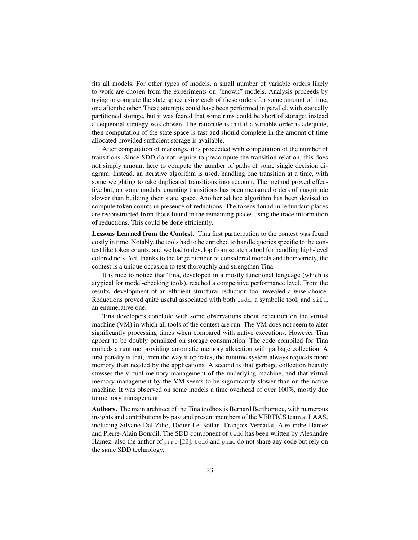fits all models. For other types of models, a small number of variable orders likely to work are chosen from the experiments on "known" models. Analysis proceeds by trying to compute the state space using each of these orders for some amount of time, one after the other. These attempts could have been performed in parallel, with statically partitioned storage, but it was feared that some runs could be short of storage; instead a sequential strategy was chosen. The rationale is that if a variable order is adequate, then computation of the state space is fast and should complete in the amount of time allocated provided sufficient storage is available.

After computation of markings, it is proceeded with computation of the number of transitions. Since SDD do not require to precompute the transition relation, this does not simply amount here to compute the number of paths of some single decision diagram. Instead, an iterative algorithm is used, handling one transition at a time, with some weighting to take duplicated transitions into account. The method proved effective but, on some models, counting transitions has been measured orders of magnitude slower than building their state space. Another ad hoc algorithm has been devised to compute token counts in presence of reductions. The tokens found in redundant places are reconstructed from those found in the remaining places using the trace information of reductions. This could be done efficiently.

Lessons Learned from the Contest. Tina first participation to the contest was found costly in time. Notably, the tools had to be enriched to handle queries specific to the contest like token counts, and we had to develop from scratch a tool for handling high-level colored nets. Yet, thanks to the large number of considered models and their variety, the contest is a unique occasion to test thoroughly and strengthen Tina.

It is nice to notice that Tina, developed in a mostly functional language (which is atypical for model-checking tools), reached a competitive performance level. From the results, development of an efficient structural reduction tool revealed a wise choice. Reductions proved quite useful associated with both tedd, a symbolic tool, and sift, an enumerative one.

Tina developers conclude with some observations about execution on the virtual machine (VM) in which all tools of the contest are run. The VM does not seem to alter significantly processing times when compared with native executions. However Tina appear to be doubly penalized on storage consumption. The code compiled for Tina embeds a runtime providing automatic memory allocation with garbage collection. A first penalty is that, from the way it operates, the runtime system always requests more memory than needed by the applications. A second is that garbage collection heavily stresses the virtual memory management of the underlying machine, and that virtual memory management by the VM seems to be significantly slower than on the native machine. It was observed on some models a time overhead of over 100%, mostly due to memory management.

Authors. The main architect of the Tina toolbox is Bernard Berthomieu, with numerous insights and contributions by past and present members of the VERTICS team at LAAS, including Silvano Dal Zilio, Didier Le Botlan, François Vernadat, Alexandre Hamez and Pierre-Alain Bourdil. The SDD component of tedd has been written by Alexandre Hamez, also the author of pnmc [\[22\]](#page-25-16). tedd and pnmc do not share any code but rely on the same SDD technology.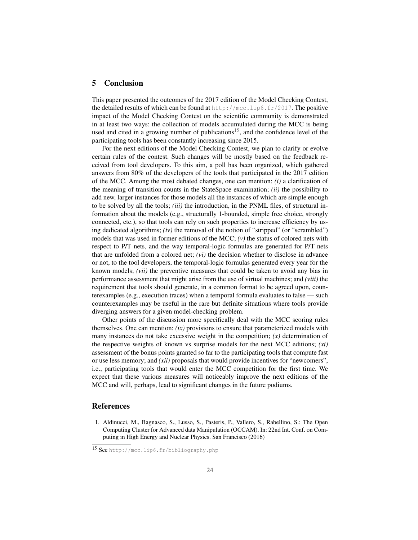# <span id="page-23-0"></span>5 Conclusion

This paper presented the outcomes of the 2017 edition of the Model Checking Contest, the detailed results of which can be found at <http://mcc.lip6.fr/2017>. The positive impact of the Model Checking Contest on the scientific community is demonstrated in at least two ways: the collection of models accumulated during the MCC is being used and cited in a growing number of publications<sup>[15](#page-23-2)</sup>, and the confidence level of the participating tools has been constantly increasing since 2015.

For the next editions of the Model Checking Contest, we plan to clarify or evolve certain rules of the contest. Such changes will be mostly based on the feedback received from tool developers. To this aim, a poll has been organized, which gathered answers from 80% of the developers of the tools that participated in the 2017 edition of the MCC. Among the most debated changes, one can mention: *(i)* a clarification of the meaning of transition counts in the StateSpace examination; *(ii)* the possibility to add new, larger instances for those models all the instances of which are simple enough to be solved by all the tools; *(iii)* the introduction, in the PNML files, of structural information about the models (e.g., structurally 1-bounded, simple free choice, strongly connected, etc.), so that tools can rely on such properties to increase efficiency by using dedicated algorithms; *(iv)* the removal of the notion of "stripped" (or "scrambled") models that was used in former editions of the MCC;  $(v)$  the status of colored nets with respect to P/T nets, and the way temporal-logic formulas are generated for P/T nets that are unfolded from a colored net; *(vi)* the decision whether to disclose in advance or not, to the tool developers, the temporal-logic formulas generated every year for the known models; *(vii)* the preventive measures that could be taken to avoid any bias in performance assessment that might arise from the use of virtual machines; and *(viii)* the requirement that tools should generate, in a common format to be agreed upon, counterexamples (e.g., execution traces) when a temporal formula evaluates to false — such counterexamples may be useful in the rare but definite situations where tools provide diverging answers for a given model-checking problem.

Other points of the discussion more specifically deal with the MCC scoring rules themselves. One can mention: *(ix)* provisions to ensure that parameterized models with many instances do not take excessive weight in the competition;  $(x)$  determination of the respective weights of known vs surprise models for the next MCC editions; *(xi)* assessment of the bonus points granted so far to the participating tools that compute fast or use less memory; and *(xii)* proposals that would provide incentives for "newcomers", i.e., participating tools that would enter the MCC competition for the first time. We expect that these various measures will noticeably improve the next editions of the MCC and will, perhaps, lead to significant changes in the future podiums.

# References

<span id="page-23-1"></span>1. Aldinucci, M., Bagnasco, S., Lusso, S., Pasteris, P., Vallero, S., Rabellino, S.: The Open Computing Cluster for Advanced data Manipulation (OCCAM). In: 22nd Int. Conf. on Computing in High Energy and Nuclear Physics. San Francisco (2016)

<span id="page-23-2"></span><sup>15</sup> See <http://mcc.lip6.fr/bibliography.php>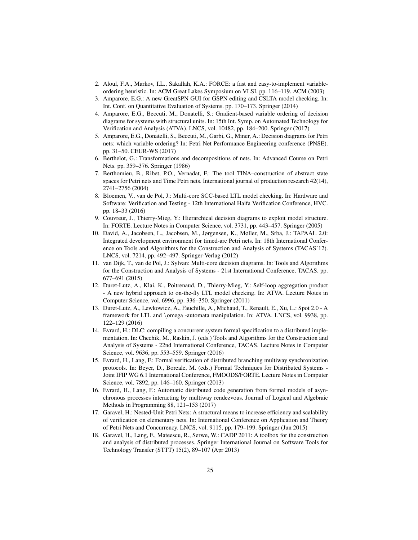- <span id="page-24-7"></span>2. Aloul, F.A., Markov, I.L., Sakallah, K.A.: FORCE: a fast and easy-to-implement variableordering heuristic. In: ACM Great Lakes Symposium on VLSI. pp. 116–119. ACM (2003)
- <span id="page-24-5"></span>3. Amparore, E.G.: A new GreatSPN GUI for GSPN editing and CSLTA model checking. In: Int. Conf. on Quantitative Evaluation of Systems. pp. 170–173. Springer (2014)
- <span id="page-24-8"></span>4. Amparore, E.G., Beccuti, M., Donatelli, S.: Gradient-based variable ordering of decision diagrams for systems with structural units. In: 15th Int. Symp. on Automated Technology for Verification and Analysis (ATVA). LNCS, vol. 10482, pp. 184–200. Springer (2017)
- <span id="page-24-6"></span>5. Amparore, E.G., Donatelli, S., Beccuti, M., Garbi, G., Miner, A.: Decision diagrams for Petri nets: which variable ordering? In: Petri Net Performance Engineering conference (PNSE). pp. 31–50. CEUR-WS (2017)
- <span id="page-24-16"></span>6. Berthelot, G.: Transformations and decompositions of nets. In: Advanced Course on Petri Nets. pp. 359–376. Springer (1986)
- <span id="page-24-15"></span>7. Berthomieu, B., Ribet, P.O., Vernadat, F.: The tool TINA–construction of abstract state spaces for Petri nets and Time Petri nets. International journal of production research 42(14), 2741–2756 (2004)
- <span id="page-24-13"></span>8. Bloemen, V., van de Pol, J.: Multi-core SCC-based LTL model checking. In: Hardware and Software: Verification and Testing - 12th International Haifa Verification Conference, HVC. pp. 18–33 (2016)
- <span id="page-24-9"></span>9. Couvreur, J., Thierry-Mieg, Y.: Hierarchical decision diagrams to exploit model structure. In: FORTE. Lecture Notes in Computer Science, vol. 3731, pp. 443–457. Springer (2005)
- <span id="page-24-14"></span>10. David, A., Jacobsen, L., Jacobsen, M., Jørgensen, K., Møller, M., Srba, J.: TAPAAL 2.0: Integrated development environment for timed-arc Petri nets. In: 18th International Conference on Tools and Algorithms for the Construction and Analysis of Systems (TACAS'12). LNCS, vol. 7214, pp. 492–497. Springer-Verlag (2012)
- <span id="page-24-12"></span>11. van Dijk, T., van de Pol, J.: Sylvan: Multi-core decision diagrams. In: Tools and Algorithms for the Construction and Analysis of Systems - 21st International Conference, TACAS. pp. 677–691 (2015)
- <span id="page-24-11"></span>12. Duret-Lutz, A., Klai, K., Poitrenaud, D., Thierry-Mieg, Y.: Self-loop aggregation product - A new hybrid approach to on-the-fly LTL model checking. In: ATVA. Lecture Notes in Computer Science, vol. 6996, pp. 336–350. Springer (2011)
- <span id="page-24-10"></span>13. Duret-Lutz, A., Lewkowicz, A., Fauchille, A., Michaud, T., Renault, E., Xu, L.: Spot 2.0 - A framework for LTL and \omega -automata manipulation. In: ATVA. LNCS, vol. 9938, pp. 122–129 (2016)
- <span id="page-24-3"></span>14. Evrard, H.: DLC: compiling a concurrent system formal specification to a distributed implementation. In: Chechik, M., Raskin, J. (eds.) Tools and Algorithms for the Construction and Analysis of Systems - 22nd International Conference, TACAS. Lecture Notes in Computer Science, vol. 9636, pp. 553–559. Springer (2016)
- <span id="page-24-2"></span>15. Evrard, H., Lang, F.: Formal verification of distributed branching multiway synchronization protocols. In: Beyer, D., Boreale, M. (eds.) Formal Techniques for Distributed Systems - Joint IFIP WG 6.1 International Conference, FMOODS/FORTE. Lecture Notes in Computer Science, vol. 7892, pp. 146–160. Springer (2013)
- <span id="page-24-4"></span>16. Evrard, H., Lang, F.: Automatic distributed code generation from formal models of asynchronous processes interacting by multiway rendezvous. Journal of Logical and Algebraic Methods in Programming 88, 121–153 (2017)
- <span id="page-24-0"></span>17. Garavel, H.: Nested-Unit Petri Nets: A structural means to increase efficiency and scalability of verification on elementary nets. In: International Conference on Application and Theory of Petri Nets and Concurrency. LNCS, vol. 9115, pp. 179–199. Springer (Jun 2015)
- <span id="page-24-1"></span>18. Garavel, H., Lang, F., Mateescu, R., Serwe, W.: CADP 2011: A toolbox for the construction and analysis of distributed processes. Springer International Journal on Software Tools for Technology Transfer (STTT) 15(2), 89–107 (Apr 2013)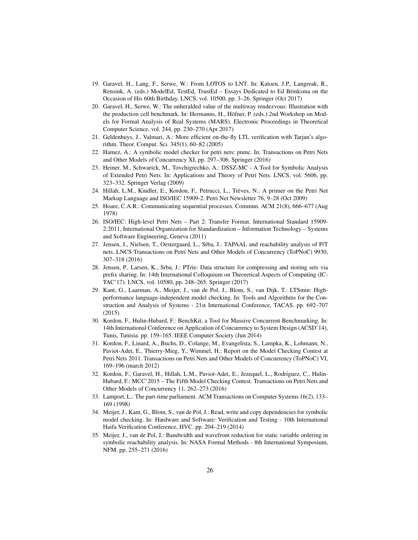- <span id="page-25-3"></span>19. Garavel, H., Lang, F., Serwe, W.: From LOTOS to LNT. In: Katoen, J.P., Langerak, R., Rensink, A. (eds.) ModelEd, TestEd, TrustEd – Essays Dedicated to Ed Brinksma on the Occasion of His 60th Birthday. LNCS, vol. 10500, pp. 3–26. Springer (Oct 2017)
- <span id="page-25-5"></span>20. Garavel, H., Serwe, W.: The unheralded value of the multiway rendezvous: Illustration with the production cell benchmark. In: Hermanns, H., Höfner, P. (eds.) 2nd Workshop on Models for Formal Analysis of Real Systems (MARS). Electronic Proceedings in Theoretical Computer Science, vol. 244, pp. 230–270 (Apr 2017)
- <span id="page-25-11"></span>21. Geldenhuys, J., Valmari, A.: More efficient on-the-fly LTL verification with Tarjan's algorithm. Theor. Comput. Sci. 345(1), 60–82 (2005)
- <span id="page-25-16"></span>22. Hamez, A.: A symbolic model checker for petri nets: pnmc. In: Transactions on Petri Nets and Other Models of Concurrency XI, pp. 297–306. Springer (2016)
- <span id="page-25-8"></span>23. Heiner, M., Schwarick, M., Tovchigrechko, A.: DSSZ-MC - A Tool for Symbolic Analysis of Extended Petri Nets. In: Applications and Theory of Petri Nets. LNCS, vol. 5606, pp. 323–332. Springer Verlag (2009)
- <span id="page-25-12"></span>24. Hillah, L.M., Kindler, E., Kordon, F., Petrucci, L., Treves, N.: A primer on the Petri Net ` Markup Language and ISO/IEC 15909-2. Petri Net Newsletter 76, 9–28 (Oct 2009)
- <span id="page-25-4"></span>25. Hoare, C.A.R.: Communicating sequential processes. Commun. ACM 21(8), 666–677 (Aug 1978)
- <span id="page-25-2"></span>26. ISO/IEC: High-level Petri Nets – Part 2: Transfer Format. International Standard 15909- 2:2011, International Organization for Standardization – Information Technology – Systems and Software Engineering, Geneva (2011)
- <span id="page-25-14"></span>27. Jensen, J., Nielsen, T., Oestergaard, L., Srba, J.: TAPAAL and reachability analysis of P/T nets. LNCS Transactions on Petri Nets and Other Models of Concurrency (ToPNoC) 9930, 307–318 (2016)
- <span id="page-25-15"></span>28. Jensen, P., Larsen, K., Srba, J.: PTrie: Data structure for compressing and storing sets via prefix sharing. In: 14th International Colloquium on Theoretical Aspects of Computing (IC-TAC'17). LNCS, vol. 10580, pp. 248–265. Springer (2017)
- <span id="page-25-10"></span>29. Kant, G., Laarman, A., Meijer, J., van de Pol, J., Blom, S., van Dijk, T.: LTSmin: Highperformance language-independent model checking. In: Tools and Algorithms for the Construction and Analysis of Systems - 21st International Conference, TACAS. pp. 692–707 (2015)
- <span id="page-25-7"></span>30. Kordon, F., Hulin-Hubard, F.: BenchKit, a Tool for Massive Concurrent Benchmarking. In: 14th International Conference on Application of Concurrency to System Design (ACSD'14), Tunis, Tunisia. pp. 159–165. IEEE Computer Society (Jun 2014)
- <span id="page-25-0"></span>31. Kordon, F., Linard, A., Buchs, D., Colange, M., Evangelista, S., Lampka, K., Lohmann, N., Paviot-Adet, E., Thierry-Mieg, Y., Wimmel, H.: Report on the Model Checking Contest at Petri Nets 2011. Transactions on Petri Nets and Other Models of Concurrency (ToPNoC) VI, 169–196 (march 2012)
- <span id="page-25-1"></span>32. Kordon, F., Garavel, H., Hillah, L.M., Paviot-Adet, E., Jezequel, L., Rodríguez, C., Hulin-Hubard, F.: MCC'2015 – The Fifth Model Checking Contest. Transactions on Petri Nets and Other Models of Concurrency 11, 262–273 (2016)
- <span id="page-25-6"></span>33. Lamport, L.: The part-time parliament. ACM Transactions on Computer Systems 16(2), 133– 169 (1998)
- <span id="page-25-13"></span>34. Meijer, J., Kant, G., Blom, S., van de Pol, J.: Read, write and copy dependencies for symbolic model checking. In: Hardware and Software: Verification and Testing - 10th International Haifa Verification Conference, HVC. pp. 204–219 (2014)
- <span id="page-25-9"></span>35. Meijer, J., van de Pol, J.: Bandwidth and wavefront reduction for static variable ordering in symbolic reachability analysis. In: NASA Formal Methods - 8th International Symposium, NFM. pp. 255–271 (2016)